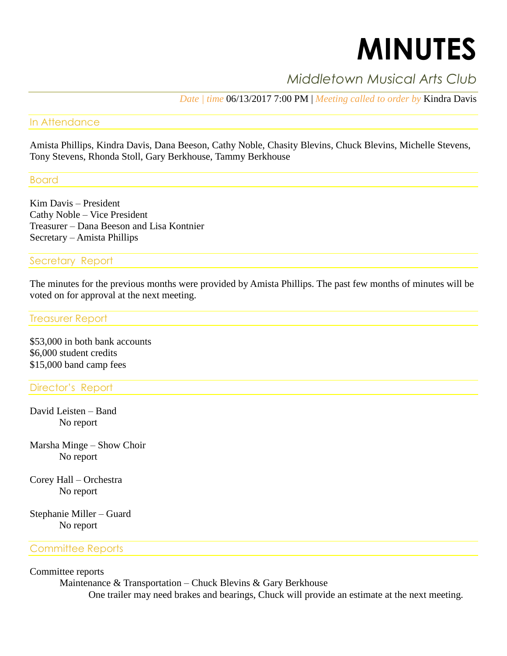# **MINUTES**

# *Middletown Musical Arts Club*

*Date | time* 06/13/2017 7:00 PM | *Meeting called to order by* Kindra Davis

#### In Attendance

Amista Phillips, Kindra Davis, Dana Beeson, Cathy Noble, Chasity Blevins, Chuck Blevins, Michelle Stevens, Tony Stevens, Rhonda Stoll, Gary Berkhouse, Tammy Berkhouse

Board

Kim Davis – President Cathy Noble – Vice President Treasurer – Dana Beeson and Lisa Kontnier Secretary – Amista Phillips

#### Secretary Report

The minutes for the previous months were provided by Amista Phillips. The past few months of minutes will be voted on for approval at the next meeting.

#### Treasurer Report

\$53,000 in both bank accounts \$6,000 student credits \$15,000 band camp fees

## Director's Report

David Leisten – Band No report

Marsha Minge – Show Choir No report

Corey Hall – Orchestra No report

Stephanie Miller – Guard No report

#### Committee Reports

Committee reports

Maintenance & Transportation – Chuck Blevins & Gary Berkhouse

One trailer may need brakes and bearings, Chuck will provide an estimate at the next meeting.